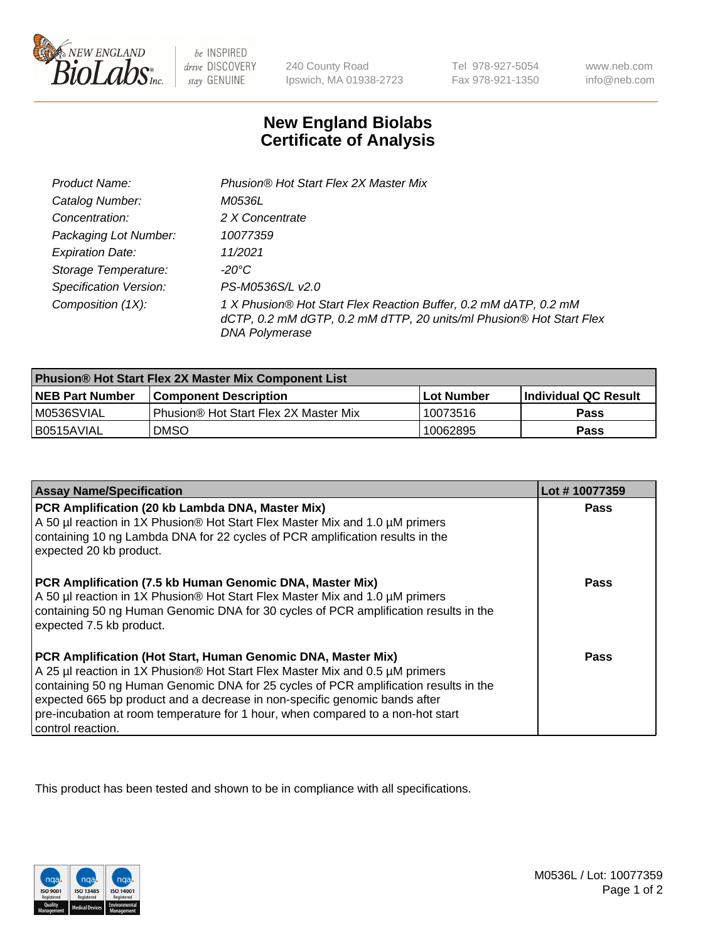

be INSPIRED drive DISCOVERY stay GENUINE

240 County Road Ipswich, MA 01938-2723

Tel 978-927-5054 Fax 978-921-1350

www.neb.com info@neb.com

## **New England Biolabs Certificate of Analysis**

| Product Name:                 | Phusion® Hot Start Flex 2X Master Mix                                                                                                                     |
|-------------------------------|-----------------------------------------------------------------------------------------------------------------------------------------------------------|
| Catalog Number:               | M0536L                                                                                                                                                    |
| Concentration:                | 2 X Concentrate                                                                                                                                           |
| Packaging Lot Number:         | 10077359                                                                                                                                                  |
| <b>Expiration Date:</b>       | 11/2021                                                                                                                                                   |
| Storage Temperature:          | -20°C                                                                                                                                                     |
| <b>Specification Version:</b> | PS-M0536S/L v2.0                                                                                                                                          |
| Composition (1X):             | 1 X Phusion® Hot Start Flex Reaction Buffer, 0.2 mM dATP, 0.2 mM<br>dCTP, 0.2 mM dGTP, 0.2 mM dTTP, 20 units/ml Phusion® Hot Start Flex<br>DNA Polymerase |

| <b>Phusion® Hot Start Flex 2X Master Mix Component List</b> |                                       |            |                             |  |
|-------------------------------------------------------------|---------------------------------------|------------|-----------------------------|--|
| <b>NEB Part Number</b>                                      | l Component Description               | Lot Number | <b>Individual QC Result</b> |  |
| M0536SVIAL                                                  | Phusion® Hot Start Flex 2X Master Mix | 10073516   | Pass                        |  |
| I B0515AVIAL                                                | <b>DMSO</b>                           | 10062895   | <b>Pass</b>                 |  |

| <b>Assay Name/Specification</b>                                                                                                                                                                                                                                                                                                                                                                                            | Lot #10077359 |
|----------------------------------------------------------------------------------------------------------------------------------------------------------------------------------------------------------------------------------------------------------------------------------------------------------------------------------------------------------------------------------------------------------------------------|---------------|
| PCR Amplification (20 kb Lambda DNA, Master Mix)<br>A 50 µl reaction in 1X Phusion® Hot Start Flex Master Mix and 1.0 µM primers<br>containing 10 ng Lambda DNA for 22 cycles of PCR amplification results in the<br>expected 20 kb product.                                                                                                                                                                               | <b>Pass</b>   |
| PCR Amplification (7.5 kb Human Genomic DNA, Master Mix)<br>A 50 µl reaction in 1X Phusion® Hot Start Flex Master Mix and 1.0 µM primers<br>containing 50 ng Human Genomic DNA for 30 cycles of PCR amplification results in the<br>expected 7.5 kb product.                                                                                                                                                               | Pass          |
| PCR Amplification (Hot Start, Human Genomic DNA, Master Mix)<br>A 25 µl reaction in 1X Phusion® Hot Start Flex Master Mix and 0.5 µM primers<br>containing 50 ng Human Genomic DNA for 25 cycles of PCR amplification results in the<br>expected 665 bp product and a decrease in non-specific genomic bands after<br>pre-incubation at room temperature for 1 hour, when compared to a non-hot start<br>control reaction. | Pass          |

This product has been tested and shown to be in compliance with all specifications.